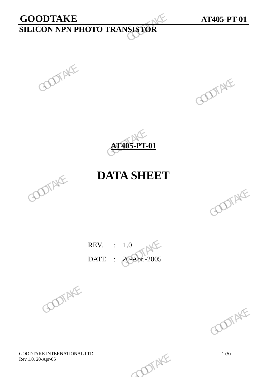# **GOODTAKE AT405-PT-01 SILICON NPN PHOTO TRANSISTOR**  GOODTAKE<br>SILICON NPN PHOTO TRANSISTOR





## **DATA SHEET**



REV. : 1.0 DATE : 20-Apr.-2005 REV.  $\frac{1.0}{20-2005}$  GOOTAKE





GOODTAKE INTERNATIONAL LTD.<br>
Rev 1.0. 20-Apr-05 1(5) Rev 1.0. 20-Apr-05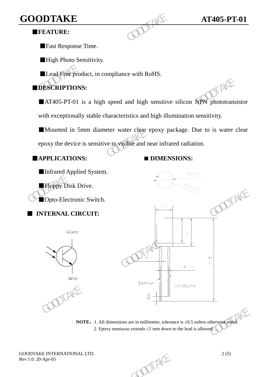## **GOODTAKE AT405-PT-01**

#### ■**FEATURE:**

■Fast Response Time.

**High Photo Sensitivity.** 

■Lead Free product, in compliance with RoHS.

#### ■**DESCRIPTIONS:**

■AT405-PT-01 is a high speed and high sensitive silicon NPN phototransistor with exceptionally stable characteristics and high illumination sensitivity. GOODTAKE<br>
FEATURE:<br>
Fast Response Time.<br>
High Photo Sensitivity.<br>
Lead Free product, in compliance with RoHS.<br>
DESCRIPTIONS:<br>
AT405-PT-01 is a high speed and high sensitive<br>
with exceptionally stable characteristics and hi

■Mounted in 5mm diameter water clear epoxy package. Due to is water clear epoxy the device is sensitive to visible and near infrared radiation.

#### ■**APPLICATIONS: ■ DIMENSIONS:**

■Infrared Applied System. ■Floppy Disk Drive. ■Opto-Electronic Switch.

#### ■ **INTERNAL CIRCUIT:**







**NOTE:** 1. All dimensions are in millimeter, tolerance is  $\pm 0.5$  unless otherwise noted. 2. Epoxy meniscus extends  $\leq 1$  mm down to the lead is allowed.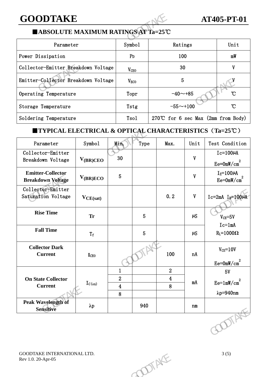## **GOODTAKE AT405-PT-01**

#### ■**ABSOLUTE MAXIMUM RATINGS AT Ta=25**℃

| <b>GOODTAKE</b>                                                                       |                  |                                       |      | <b>AT405-PT-01</b> |  |  |  |  |  |
|---------------------------------------------------------------------------------------|------------------|---------------------------------------|------|--------------------|--|--|--|--|--|
| ■ABSOLUTE MAXIMUM RATINGS AT Ta=25°C                                                  |                  |                                       |      |                    |  |  |  |  |  |
| Parameter                                                                             | Symbo1           | Ratings                               |      | Unit               |  |  |  |  |  |
| Power Dissipation                                                                     | P <sub>D</sub>   | 100                                   | mW   |                    |  |  |  |  |  |
| Collector-Emitter Breakdown Voltage                                                   | V <sub>CEO</sub> | 30                                    |      |                    |  |  |  |  |  |
| Emitter-Collector Breakdown Voltage                                                   | V <sub>ECO</sub> | 5                                     |      |                    |  |  |  |  |  |
| Operating Temperature                                                                 | Topr             | $\mathcal{C}$<br>$-40$ ~+85           |      |                    |  |  |  |  |  |
| Storage Temperature                                                                   | Tstg             | $-55 - +100$<br>$\mathcal{C}$         |      |                    |  |  |  |  |  |
| Soldering Temperature                                                                 | Tso1             | 270°C for 6 sec Max $(2mm from Body)$ |      |                    |  |  |  |  |  |
| <b>TYPICAL ELECTRICAL &amp; OPTICAL CHARACTERISTICS <math>(Ta=25^{\circ}C)</math></b> |                  |                                       |      |                    |  |  |  |  |  |
| Symbol<br>Parameter                                                                   | Min.<br>Type     | Max.                                  | Unit | Test Condition     |  |  |  |  |  |

#### ■**TYPICAL ELECTRICAL & OPTICAL CHARACTERISTICS**(**Ta=25**℃)

| Operating Temperature<br>$-40 - +85$<br>°C<br>Topr<br>$-55 - +100$<br>$\mathcal{C}$<br>Storage Temperature<br>Tstg<br>270℃ for 6 sec Max (2mm from Body)<br>Soldering Temperature<br>Tso1<br><b>TYPICAL ELECTRICAL &amp; OPTICAL CHARACTERISTICS (Ta=25°C)</b><br>Symbol<br>Test Condition<br>Parameter<br>Min.<br>Type<br>Unit<br>Max.<br>Collector-Emitter<br>$Ic=100\mu A$<br>30<br>$\mathbf{V}$<br>$V_{(BR)CEO}$<br>Breakdown Voltage<br>$Ee = 0mW/cm2$<br><b>Emitter-Collector</b><br>$I_E = 100 \mu A$<br>5 <sub>5</sub><br>$\mathbf{V}$<br>$V_{(BR)ECO}$<br>$Ee=0mW/cm^2$<br><b>Breakdown Voltage</b><br>Collector-Emitter<br>0.2<br>$\mathbf{V}$<br>Saturation Voltage<br>$Ic=2mA$ $I_B=100\mu A$<br>$V_{CE(sat)}$<br><b>Rise Time</b><br>$5\phantom{.}$<br>$\mu S$<br><b>Tr</b><br>$V_{CE} = 5V$<br>$Ic=1mA$<br><b>Fall Time</b><br>$\overline{5}$<br>$R_L = 1000\Omega$<br>$\mu S$<br>$\rm T_{\rm f}$<br><b>Collector Dark</b><br>$V_{CE} = 10V$<br>100<br>nA<br><b>Current</b><br><b>I</b> CEO<br>$Ee = 0mW/cm2$<br>$\overline{2}$<br>$\mathbf{1}$<br>5V |
|---------------------------------------------------------------------------------------------------------------------------------------------------------------------------------------------------------------------------------------------------------------------------------------------------------------------------------------------------------------------------------------------------------------------------------------------------------------------------------------------------------------------------------------------------------------------------------------------------------------------------------------------------------------------------------------------------------------------------------------------------------------------------------------------------------------------------------------------------------------------------------------------------------------------------------------------------------------------------------------------------------------------------------------------------------------------|
|                                                                                                                                                                                                                                                                                                                                                                                                                                                                                                                                                                                                                                                                                                                                                                                                                                                                                                                                                                                                                                                                     |
|                                                                                                                                                                                                                                                                                                                                                                                                                                                                                                                                                                                                                                                                                                                                                                                                                                                                                                                                                                                                                                                                     |
|                                                                                                                                                                                                                                                                                                                                                                                                                                                                                                                                                                                                                                                                                                                                                                                                                                                                                                                                                                                                                                                                     |
|                                                                                                                                                                                                                                                                                                                                                                                                                                                                                                                                                                                                                                                                                                                                                                                                                                                                                                                                                                                                                                                                     |
|                                                                                                                                                                                                                                                                                                                                                                                                                                                                                                                                                                                                                                                                                                                                                                                                                                                                                                                                                                                                                                                                     |
|                                                                                                                                                                                                                                                                                                                                                                                                                                                                                                                                                                                                                                                                                                                                                                                                                                                                                                                                                                                                                                                                     |
|                                                                                                                                                                                                                                                                                                                                                                                                                                                                                                                                                                                                                                                                                                                                                                                                                                                                                                                                                                                                                                                                     |
|                                                                                                                                                                                                                                                                                                                                                                                                                                                                                                                                                                                                                                                                                                                                                                                                                                                                                                                                                                                                                                                                     |
|                                                                                                                                                                                                                                                                                                                                                                                                                                                                                                                                                                                                                                                                                                                                                                                                                                                                                                                                                                                                                                                                     |
|                                                                                                                                                                                                                                                                                                                                                                                                                                                                                                                                                                                                                                                                                                                                                                                                                                                                                                                                                                                                                                                                     |
|                                                                                                                                                                                                                                                                                                                                                                                                                                                                                                                                                                                                                                                                                                                                                                                                                                                                                                                                                                                                                                                                     |
| $\boldsymbol{2}$<br>$\overline{\mathbf{4}}$<br><b>On State Collector</b><br>$Ee=1mW/cm^2$<br>mA<br>$I_{C(on)}$<br>8<br><b>Current</b><br>$\overline{\mathbf{4}}$<br>$\lambda p = 940$ nm<br>8                                                                                                                                                                                                                                                                                                                                                                                                                                                                                                                                                                                                                                                                                                                                                                                                                                                                       |
| <b>Peak Wavelength of</b><br>940<br>$\lambda p$<br>n m<br>Sensitive                                                                                                                                                                                                                                                                                                                                                                                                                                                                                                                                                                                                                                                                                                                                                                                                                                                                                                                                                                                                 |
| ODIAN                                                                                                                                                                                                                                                                                                                                                                                                                                                                                                                                                                                                                                                                                                                                                                                                                                                                                                                                                                                                                                                               |
| 3(5)<br>GOODTAKE INTERNATIONAL LTD.<br>OTAKE<br>Rev 1.0. 20-Apr-05                                                                                                                                                                                                                                                                                                                                                                                                                                                                                                                                                                                                                                                                                                                                                                                                                                                                                                                                                                                                  |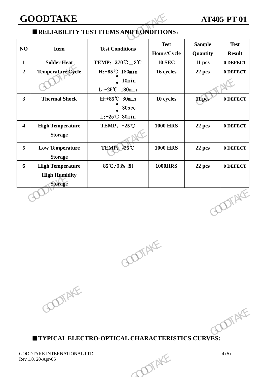### **GOODTAKE AT405-PT-01**

#### ■**RELIABILITY TEST ITEMS AND CONDITIONS**:

| <b>GOODTAKE</b>         |                                                                   |                                                             |                            | <b>AT405-PT-01</b>        |                              |
|-------------------------|-------------------------------------------------------------------|-------------------------------------------------------------|----------------------------|---------------------------|------------------------------|
|                         |                                                                   | <b>ERELIABILITY TEST ITEMS AND CONDITIONS:</b>              |                            |                           |                              |
| NO                      | <b>Item</b>                                                       | <b>Test Conditions</b>                                      | <b>Test</b><br>Hours/Cycle | <b>Sample</b><br>Quantity | <b>Test</b><br><b>Result</b> |
| $\mathbf{1}$            | <b>Solder Heat</b>                                                | TEMP: $270^{\circ}\text{C} \pm 3^{\circ}\text{C}$           | <b>10 SEC</b>              | 11 pcs                    | 0 DEFECT                     |
| $\overline{2}$          | <b>Temperature Cycle</b>                                          | H:+85°C 180min<br>10min<br>$L: -25^{\circ}C$ 180min         | 16 cycles                  | 22 pcs                    | 0 DEFECT                     |
| $\overline{\mathbf{3}}$ | <b>Thermal Shock</b>                                              | $H: +85^{\circ}C$ 30min<br>30sec<br>$L: -25^{\circ}C$ 30min | 10 cycles                  | 11 pcs                    | 0 DEFECT                     |
| $\overline{\mathbf{4}}$ | <b>High Temperature</b><br><b>Storage</b>                         | TEMP: $+25^{\circ}\text{C}$                                 | <b>1000 HRS</b>            | 22 pcs                    | 0 DEFECT                     |
| 5                       | <b>Low Temperature</b><br><b>Storage</b>                          | TEMP: -25°C                                                 | <b>1000 HRS</b>            | 22 pcs                    | 0 DEFECT                     |
| 6                       | <b>High Temperature</b><br><b>High Humidity</b><br><b>Storage</b> | 85℃/93% RH                                                  | <b>1000HRS</b>             | 22 pcs                    | 0 DEFECT                     |
|                         |                                                                   |                                                             |                            |                           | <b>DOTAKE</b>                |



■**TYPICAL ELECTRO-OPTICAL CHARACTERISTICS CURVES:** GOOD<br>
SOOPTICAL CHARACTERISTICS CURVES: